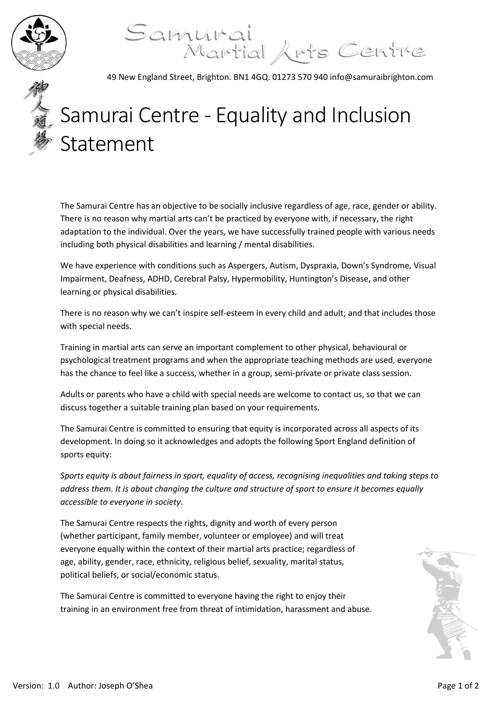

Samurai<br>Martial Arts Centre

49 New England Street, Brighton. BN1 4GQ. 01273 570 940 info@samuraibrighton.com

## Samurai Centre - Equality and Inclusion Statement

The Samurai Centre has an objective to be socially inclusive regardless of age, race, gender or ability. There is no reason why martial arts can't be practiced by everyone with, if necessary, the right adaptation to the individual. Over the years, we have successfully trained people with various needs including both physical disabilities and learning / mental disabilities.

We have experience with conditions such as Aspergers, Autism, Dyspraxia, Down's Syndrome, Visual Impairment, Deafness, ADHD, Cerebral Palsy, Hypermobility, Huntington's Disease, and other learning or physical disabilities.

There is no reason why we can't inspire self-esteem in every child and adult; and that includes those with special needs.

Training in martial arts can serve an important complement to other physical, behavioural or psychological treatment programs and when the appropriate teaching methods are used, everyone has the chance to feel like a success, whether in a group, semi-private or private class session.

Adults or parents who have a child with special needs are welcome to contact us, so that we can discuss together a suitable training plan based on your requirements.

The Samurai Centre is committed to ensuring that equity is incorporated across all aspects of its development. In doing so it acknowledges and adopts the following Sport England definition of sports equity:

*Sports equity is about fairness in sport, equality of access, recognising inequalities and taking steps to address them. It is about changing the culture and structure of sport to ensure it becomes equally accessible to everyone in society*.

The Samurai Centre respects the rights, dignity and worth of every person (whether participant, family member, volunteer or employee) and will treat everyone equally within the context of their martial arts practice; regardless of age, ability, gender, race, ethnicity, religious belief, sexuality, marital status, political beliefs, or social/economic status.

The Samurai Centre is committed to everyone having the right to enjoy their training in an environment free from threat of intimidation, harassment and abuse.